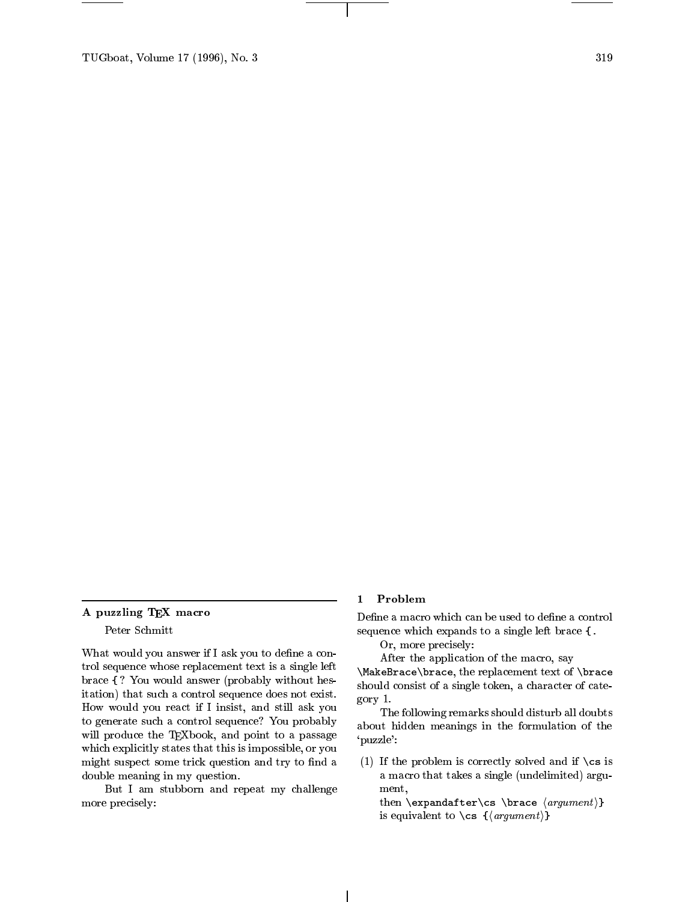TUGboat, Volume 17 (1996), No. 3 319

# A puzzling TEX macro

### Peter Schmitt

What would you answer if I ask you to define a control sequence whose replacement text is a single left brace { ? You would answer (probably without hesitation) that such a control sequence does not exist. How would you react if I insist, and still ask you to generate such a control sequence? You probably will produce the TEXbook, and point to a passage which explicitly states that this is impossible, or you might suspect some trick question and try to find a double meaning in my question.

But I am stubborn and repeat my challenge more precisely:

# 1 Problem

Define a macro which can be used to define a control sequence which expands to a single left brace { .

Or, more precisely:

After the application of the macro, say

\MakeBrace\brace, the replacement text of \brace should consist of a single token, a character of category 1.

The following remarks should disturb all doubts about hidden meanings in the formulation of the `puzzle':

(1) If the problem is correctly solved and if  $\cos$  is a macro that takes a single (undelimited) argument,

then \expandafter\cs \brace  $\langle argument \rangle$ } is equivalent to  $\csc \frac{\langle argument \rangle}{\}$